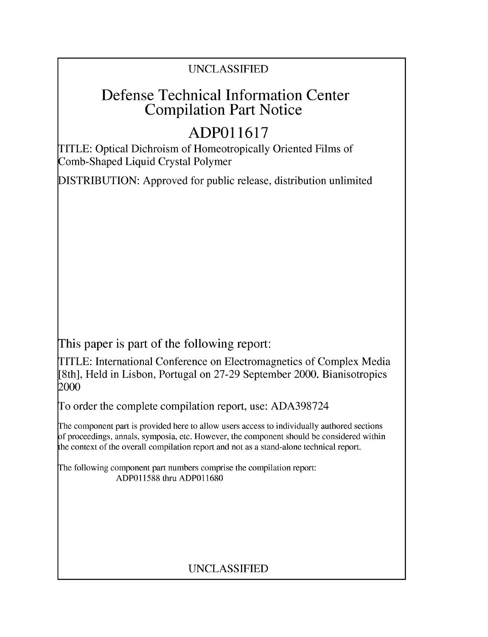## UNCLASSIFIED

## Defense Technical Information Center Compilation Part Notice

# **ADPO 11617**

TITLE: Optical Dichroism of Homeotropically Oriented Films of Comb-Shaped Liquid Crystal Polymer

DISTRIBUTION: Approved for public release, distribution unlimited

This paper is part of the following report:

TITLE: International Conference on Electromagnetics of Complex Media [8th], Held in Lisbon, Portugal on 27-29 September 2000. Bianisotropics 2000

To order the complete compilation report, use: ADA398724

The component part is provided here to allow users access to individually authored sections f proceedings, annals, symposia, etc. However, the component should be considered within [he context of the overall compilation report and not as a stand-alone technical report.

The following component part numbers comprise the compilation report: ADP011588 thru ADP011680

## UNCLASSIFIED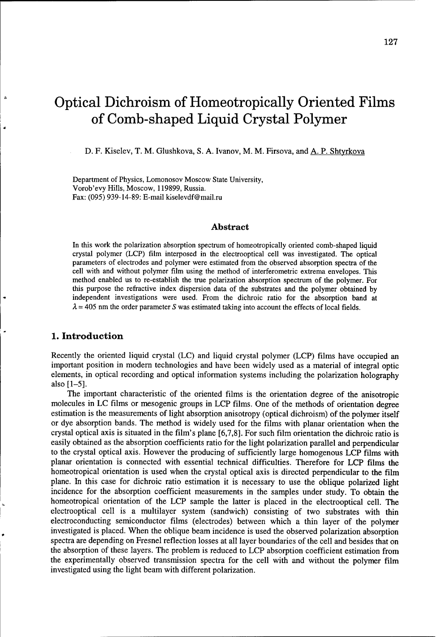# Optical Dichroism of Homeotropically Oriented Films of Comb-shaped Liquid Crystal Polymer

D. F. Kiselev, T. M. Glushkova, S. A. Ivanov, M. M. Firsova, and A. P. Shtyrkova

Department of Physics, Lomonosov Moscow State University, Vorob'evy Hills, Moscow, 119899, Russia. Fax: (095) 939-14-89: E-mail kiselevdf@mail.ru

#### Abstract

In this work the polarization absorption spectrum of homeotropically oriented comb-shaped liquid crystal polymer (LCP) film interposed in the electrooptical cell was investigated. The optical parameters of electrodes and polymer were estimated from the observed absorption spectra of the cell with and without polymer film using the method of interferometric extrema envelopes. This method enabled us to re-establish the true polarization absorption spectrum of the polymer. For this purpose the refractive index dispersion data of the substrates and the polymer obtained by independent investigations were used. From the dichroic ratio for the absorption band at  $\lambda$  = 405 nm the order parameter S was estimated taking into account the effects of local fields.

#### **1.** Introduction

ă

Recently the oriented liquid crystal (LC) and liquid crystal polymer (LCP) films have occupied an important position in modem technologies and have been widely used as a material of integral optic elements, in optical recording and optical information systems including the polarization holography also [1-5].

The important characteristic of the oriented films is the orientation degree of the anisotropic molecules in LC films or mesogenic groups in LCP films. One of the methods of orientation degree estimation is the measurements of light absorption anisotropy (optical dichroism) of the polymer itself or dye absorption bands. The method is widely used for the films with planar orientation when the crystal optical axis is situated in the film's plane [6,7,8]. For such film orientation the dichroic ratio is easily obtained as the absorption coefficients ratio for the light polarization parallel and perpendicular to the crystal optical axis. However the producing of sufficiently large homogenous LCP films with planar orientation is connected with essential technical difficulties. Therefore for LCP films the homeotropical orientation is used when the crystal optical axis is directed perpendicular to the film plane. In this case for dichroic ratio estimation it is necessary to use the oblique polarized light incidence for the absorption coefficient measurements in the samples under study. To obtain the homeotropical orientation of the LCP sample the latter is placed in the electrooptical cell. The electrooptical cell is a multilayer system (sandwich) consisting of two substrates with thin electroconducting semiconductor films (electrodes) between which a thin layer of the polymer investigated is placed. When the oblique beam incidence is used the observed polarization absorption spectra are depending on Fresnel reflection losses at all layer boundaries of the cell and besides that on the absorption of these layers. The problem is reduced to LCP absorption coefficient estimation from the experimentally observed transmission spectra for the cell with and without the polymer film investigated using the light beam with different polarization.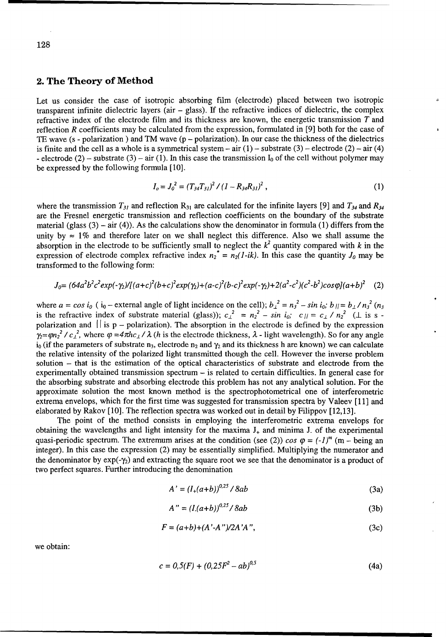#### 2. The Theory of Method

Let us consider the case of isotropic absorbing film (electrode) placed between two isotropic transparent infinite dielectric layers (air  $-$  glass). If the refractive indices of dielectric, the complex refractive index of the electrode film and its thickness are known, the energetic transmission T and reflection R coefficients may be calculated from the expression, formulated in [9] both for the case of TE wave ( $s$  - polarization) and TM wave ( $p$  - polarization). In our case the thickness of the dielectrics is finite and the cell as a whole is a symmetrical system – air  $(1)$  – substrate  $(3)$  – electrode  $(2)$  – air  $(4)$ - electrode (2) – substrate (3) – air (1). In this case the transmission  $I_0$  of the cell without polymer may be expressed by the following formula [10].

$$
I_o = J_o^2 = (T_{34}T_{31})^2 / (I - R_{34}R_{31})^2 , \qquad (1)
$$

where the transmission  $T_{31}$  and reflection  $R_{31}$  are calculated for the infinite layers [9] and  $T_{34}$  and  $R_{34}$ are the Fresnel energetic transmission and reflection coefficients on the boundary of the substrate material (glass  $(3)$  – air  $(4)$ ). As the calculations show the denominator in formula (1) differs from the unity by  $\approx 1\%$  and therefore later on we shall neglect this difference. Also we shall assume the absorption in the electrode to be sufficiently small to neglect the  $k^2$  quantity compared with k in the expression of electrode complex refractive index  $n_2^* = n_2(I-ik)$ . In this case the quantity  $J_0$  may be transformed to the following form:

$$
J_0 = (64a^2b^2c^2exp(-\gamma_2)/[(a+c)^2(b+c)^2exp(\gamma_2)+(a-c)^2(b-c)^2exp(-\gamma_2)+2(a^2-c^2)(c^2-b^2)cos\varphi](a+b)^2
$$
 (2)

where  $a = \cos i_0$  ( $i_0$  – external angle of light incidence on the cell);  $b_\perp^2 = n_3^2 - \sin i_0$ ;  $b_{\parallel} = b_\perp / n_3^2$  ( $n_3$ ) is the refractive index of substrate material (glass));  $c_{\perp}^{2} = n_{2}^{2} - \sin i_{0}$ ;  $c_{\parallel} = c_{\perp} / n_{2}^{2}$  ( $\perp$  is s polarization and  $||$  is p – polarization). The absorption in the electrode is defined by the expression  $\alpha_2 = \varphi n_2^2 / c_L^2$ , where  $\varphi = 4\pi h c_L / \lambda$  (*h* is the electrode thickness,  $\lambda$  - light wavelength). So for any angle  $i_0$  (if the parameters of substrate n<sub>3</sub>, electrode n<sub>2</sub> and  $\gamma_2$  and its thickness h are known) we can calculate the relative intensity of the polarized light transmitted though the cell. However the inverse problem solution - that is the estimation of the optical characteristics of substrate and electrode from the experimentally obtained transmission spectrum  $-$  is related to certain difficulties. In general case for the absorbing substrate and absorbing electrode this problem has not any analytical solution. For the approximate solution the most known method is the spectrophotometrical one of interferometric extrema envelops, which for the first time was suggested for transmission spectra by Valeev [11] and elaborated by Rakov [10]. The reflection spectra was worked out in detail by Filippov [12,13].

The point of the method consists in employing the interferometric extrema envelops for obtaining the wavelengths and light intensity for the maxima  $J_{+}$  and minima  $J_{-}$  of the experimental quasi-periodic spectrum. The extremum arises at the condition (see (2)) *cos*  $\varphi = (-1)^m$  (m – being an integer). In this case the expression (2) may be essentially simplified. Multiplying the numerator and the denominator by  $exp(-\gamma_2)$  and extracting the square root we see that the denominator is a product of two perfect squares. Further introducing the denomination

$$
A' = (I_+(a+b))^{0.25} / 8ab \tag{3a}
$$

$$
A'' = (I(a+b))^{0.25} / 8ab \tag{3b}
$$

$$
F = (a+b)+(A'-A'')/2A'A'',
$$
 (3c)

we obtain:

$$
c = 0.5(F) + (0.25F^2 - ab)^{0.5}
$$
 (4a)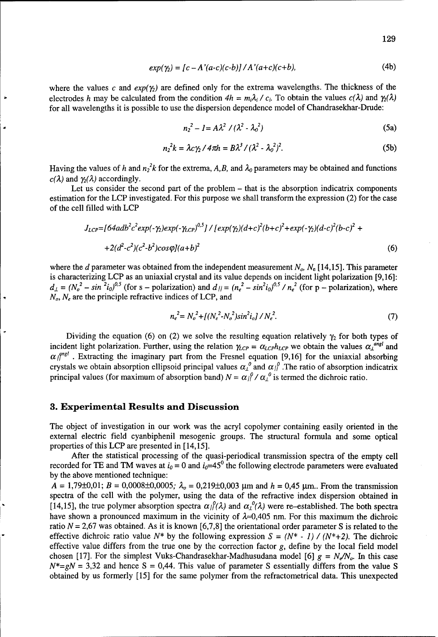$$
exp(\gamma_2) = [c - A'(a-c)(c-b)] / A'(a+c)(c+b),
$$
 (4b)

where the values c and  $exp(\gamma_2)$  are defined only for the extrema wavelengths. The thickness of the electrodes h may be calculated from the condition  $4h = m_i \lambda_i / c_i$ . To obtain the values  $c(\lambda)$  and  $\gamma_2(\lambda)$ for all wavelengths it is possible to use the dispersion dependence model of Chandrasekhar-Drude:

$$
n_2^2 - 1 = A\lambda^2 / (\lambda^2 - \lambda_0^2)
$$
 (5a)

$$
n_2^2 k = \lambda c \gamma_2 / 4 \pi h = B \lambda^3 / (\lambda^2 - \lambda_0^2)^2. \tag{5b}
$$

Having the values of h and  $n_2^2 k$  for the extrema, A,B, and  $\lambda_0$  parameters may be obtained and functions  $c(\lambda)$  and  $\gamma_2(\lambda)$  accordingly.

Let us consider the second part of the problem  $-$  that is the absorption indicatrix components estimation for the LCP investigated. For this purpose we shall transform the expression (2) for the case of the cell filled with LCP

$$
J_{LCP} = [64adb^{2}c^{2}exp(-\gamma_{2})exp(-\gamma_{LCP})^{0.5}] / [exp(\gamma_{2})(d+c)^{2}(b+c)^{2} + exp(-\gamma_{2})(d-c)^{2}(b-c)^{2} ++2(d^{2}-c^{2})(c^{2}-b^{2})cos\varphi](a+b)^{2}
$$
(6)

where the d parameter was obtained from the independent measurement  $N_{o}$ ,  $N_{e}$  [14,15]. This parameter is characterizing LCP as an uniaxial crystal and its value depends on incident light polarization [9,16]:  $d_{\mu} = (N_o^2 - \sin^2 i_o)^{0.5}$  (for s – polarization) and  $d_{\mu} = (n_e^2 - \sin^2 i_o)^{0.5} / n_e^2$  (for p – polarization), where  $N_e$ ,  $N_e$  are the principle refractive indices of LCP, and

$$
n_e^2 = N_o^2 + \left[ \left( N_e^2 - N_o^2 \right) \sin^2 i_o \right] / N_e^2. \tag{7}
$$

Dividing the equation (6) on (2) we solve the resulting equation relatively  $\gamma_2$  for both types of incident light polarization. Further, using the relation  $\gamma_{LCP} = \alpha_{LCP} h_{LCP}$  we obtain the values  $\alpha_{\perp}^{angl}$  and  $\alpha_{\parallel}^{angle}$ . Extracting the imaginary part from the Fresnel equation [9,16] for the uniaxial absorbing crystals we obtain absorption ellipsoid principal values  $\alpha_{\perp}^{\rho}$  and  $\alpha_{\parallel}^{\rho}$ . The ratio of absorption indicatrix principal values (for maximum of absorption band)  $N = \alpha_l^{\rho} / \alpha_l^{\rho}$  is termed the dichroic ratio.

#### **3.** Experimental Results and Discussion

The object of investigation in our work was the acryl copolymer containing easily oriented in the external electric field cyanbiphenil mesogenic groups. The structural formula and some optical properties of this LCP are presented in [14,15].

After the statistical processing of the quasi-periodical transmission spectra of the empty cell recorded for TE and TM waves at  $i_0 = 0$  and  $i_0 = 45^\circ$  the following electrode parameters were evaluated by the above mentioned technique:

 $A = 1,79\pm0,01$ ;  $B = 0,0008\pm0,0005$ ;  $\lambda_o = 0,219\pm0,003$  µm and  $h = 0,45$  µm.. From the transmission spectra of the cell with the polymer, using the data of the refractive index dispersion obtained in [14,15], the true polymer absorption spectra  $\alpha_l/\alpha$  and  $\alpha_l^0(\lambda)$  were re-established. The both spectra have shown a pronounced maximum in the vicinity of  $\lambda \approx 0.405$  nm. For this maximum the dichroic ratio  $N = 2.67$  was obtained. As it is known [6,7,8] the orientational order parameter S is related to the effective dichroic ratio value  $N^*$  by the following expression  $S = (N^* - 1) / (N^* + 2)$ . The dichroic effective value differs from the true one by the correction factor  $g$ , define by the local field model chosen [17]. For the simplest Vuks-Chandrasekhar-Madhusudana model [6]  $g = N_e/N_o$ . In this case  $N^*=gN = 3,32$  and hence S = 0,44. This value of parameter S essentially differs from the value S obtained by us formerly [15] for the same polymer from the refractometrical data. This unexpected